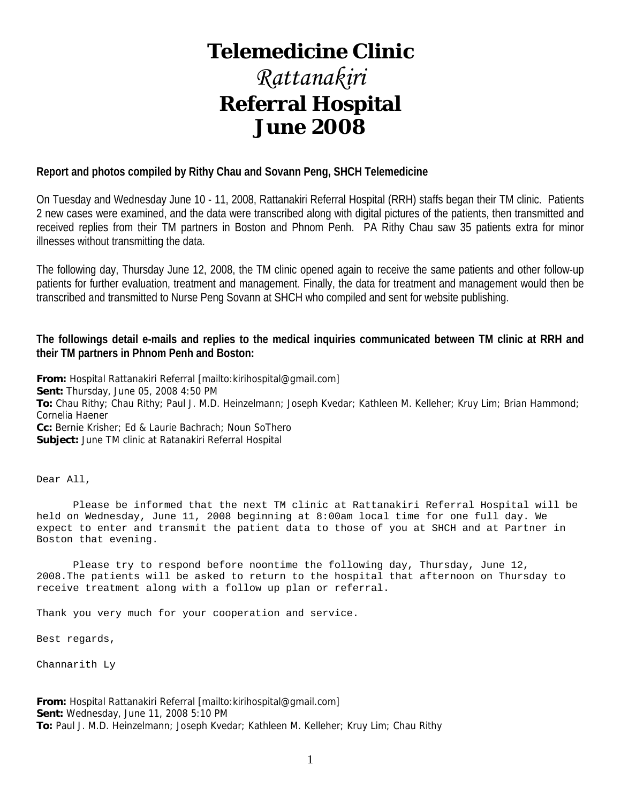# **Telemedicine Clinic**

# *Rattanakiri*  **Referral Hospital June 2008**

#### **Report and photos compiled by Rithy Chau and Sovann Peng, SHCH Telemedicine**

On Tuesday and Wednesday June 10 - 11, 2008, Rattanakiri Referral Hospital (RRH) staffs began their TM clinic. Patients 2 new cases were examined, and the data were transcribed along with digital pictures of the patients, then transmitted and received replies from their TM partners in Boston and Phnom Penh. PA Rithy Chau saw 35 patients extra for minor illnesses without transmitting the data.

The following day, Thursday June 12, 2008, the TM clinic opened again to receive the same patients and other follow-up patients for further evaluation, treatment and management. Finally, the data for treatment and management would then be transcribed and transmitted to Nurse Peng Sovann at SHCH who compiled and sent for website publishing.

#### **The followings detail e-mails and replies to the medical inquiries communicated between TM clinic at RRH and their TM partners in Phnom Penh and Boston:**

**From:** Hospital Rattanakiri Referral [mailto:kirihospital@gmail.com] **Sent:** Thursday, June 05, 2008 4:50 PM **To:** Chau Rithy; Chau Rithy; Paul J. M.D. Heinzelmann; Joseph Kvedar; Kathleen M. Kelleher; Kruy Lim; Brian Hammond; Cornelia Haener **Cc:** Bernie Krisher; Ed & Laurie Bachrach; Noun SoThero **Subject:** June TM clinic at Ratanakiri Referral Hospital

Dear All,

 Please be informed that the next TM clinic at Rattanakiri Referral Hospital will be held on Wednesday, June 11, 2008 beginning at 8:00am local time for one full day. We expect to enter and transmit the patient data to those of you at SHCH and at Partner in Boston that evening.

 Please try to respond before noontime the following day, Thursday, June 12, 2008.The patients will be asked to return to the hospital that afternoon on Thursday to receive treatment along with a follow up plan or referral.

Thank you very much for your cooperation and service.

Best regards,

Channarith Ly

**From:** Hospital Rattanakiri Referral [mailto:kirihospital@gmail.com] **Sent:** Wednesday, June 11, 2008 5:10 PM **To:** Paul J. M.D. Heinzelmann; Joseph Kvedar; Kathleen M. Kelleher; Kruy Lim; Chau Rithy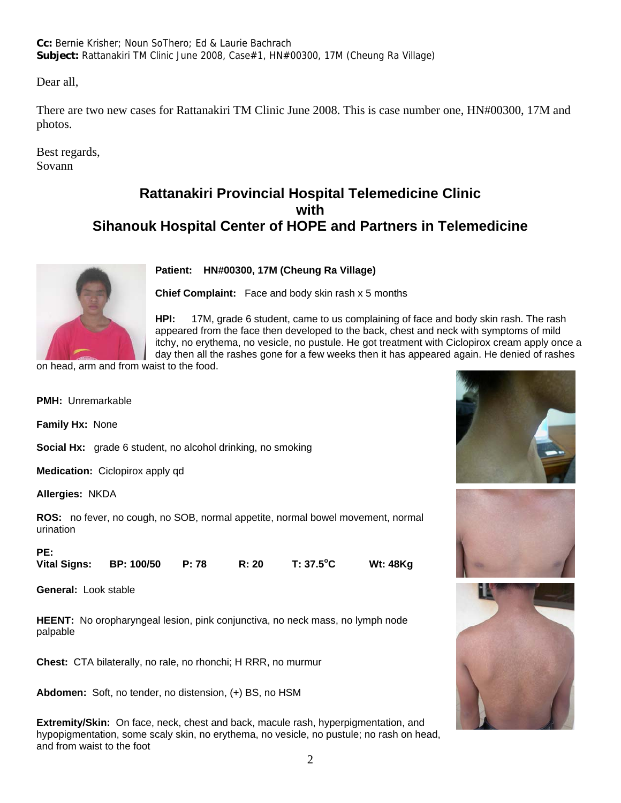**Cc:** Bernie Krisher; Noun SoThero; Ed & Laurie Bachrach **Subject:** Rattanakiri TM Clinic June 2008, Case#1, HN#00300, 17M (Cheung Ra Village)

Dear all,

There are two new cases for Rattanakiri TM Clinic June 2008. This is case number one, HN#00300, 17M and photos.

Best regards, Sovann

## **Rattanakiri Provincial Hospital Telemedicine Clinic with Sihanouk Hospital Center of HOPE and Partners in Telemedicine**



**Patient: HN#00300, 17M (Cheung Ra Village)**

**Chief Complaint:** Face and body skin rash x 5 months

**HPI:** 17M, grade 6 student, came to us complaining of face and body skin rash. The rash appeared from the face then developed to the back, chest and neck with symptoms of mild itchy, no erythema, no vesicle, no pustule. He got treatment with Ciclopirox cream apply once a day then all the rashes gone for a few weeks then it has appeared again. He denied of rashes

on head, arm and from waist to the food.

**PMH:** Unremarkable

**Family Hx:** None

**Social Hx:** grade 6 student, no alcohol drinking, no smoking

**Medication:** Ciclopirox apply qd

**Allergies:** NKDA

**ROS:** no fever, no cough, no SOB, normal appetite, normal bowel movement, normal urination

**PE:** 

**Vital Signs: BP: 100/50 P: 78 R: 20 T: 37.5<sup>o</sup> C Wt: 48Kg**

**General:** Look stable

**HEENT:** No oropharyngeal lesion, pink conjunctiva, no neck mass, no lymph node palpable

**Chest:** CTA bilaterally, no rale, no rhonchi; H RRR, no murmur

**Abdomen:** Soft, no tender, no distension, (+) BS, no HSM

**Extremity/Skin:** On face, neck, chest and back, macule rash, hyperpigmentation, and hypopigmentation, some scaly skin, no erythema, no vesicle, no pustule; no rash on head, and from waist to the foot





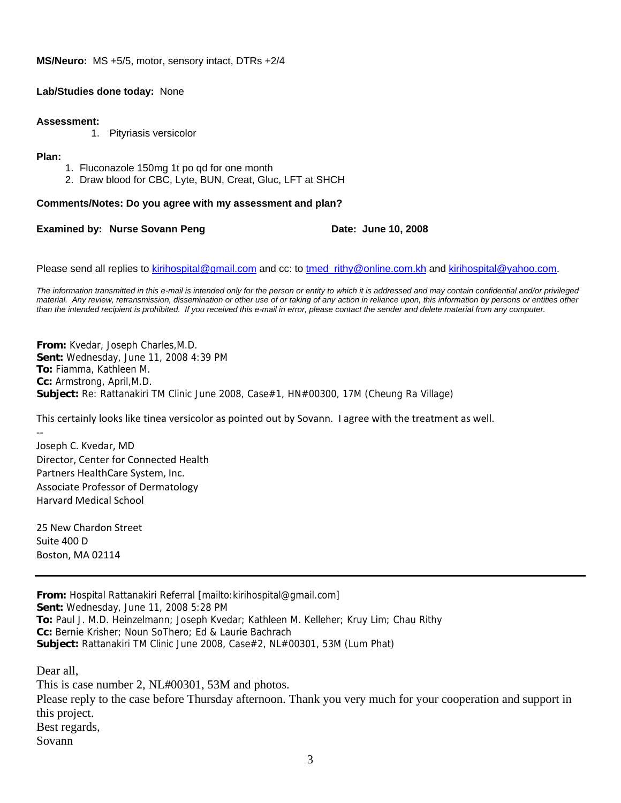#### **MS/Neuro:** MS +5/5, motor, sensory intact, DTRs +2/4

#### **Lab/Studies done today:** None

#### **Assessment:**

1. Pityriasis versicolor

#### **Plan:**

 $\overline{\phantom{a}}$ 

- 1. Fluconazole 150mg 1t po qd for one month
- 2. Draw blood for CBC, Lyte, BUN, Creat, Gluc, LFT at SHCH

#### **Comments/Notes: Do you agree with my assessment and plan?**

#### **Examined by: Nurse Sovann Peng Case Constrained By: Nurse Sovann Peng Case Constrained By: 0008**

Please send all replies to kirihospital@gmail.com and cc: to tmed rithy@online.com.kh and kirihospital@yahoo.com.

*The information transmitted in this e-mail is intended only for the person or entity to which it is addressed and may contain confidential and/or privileged material. Any review, retransmission, dissemination or other use of or taking of any action in reliance upon, this information by persons or entities other than the intended recipient is prohibited. If you received this e-mail in error, please contact the sender and delete material from any computer.*

**From:** Kvedar, Joseph Charles,M.D. **Sent:** Wednesday, June 11, 2008 4:39 PM **To:** Fiamma, Kathleen M. **Cc:** Armstrong, April,M.D. **Subject:** Re: Rattanakiri TM Clinic June 2008, Case#1, HN#00300, 17M (Cheung Ra Village)

This certainly looks like tinea versicolor as pointed out by Sovann. I agree with the treatment as well.

Joseph C. Kvedar, MD Director, Center for Connected Health Partners HealthCare System, Inc. Associate Professor of Dermatology Harvard Medical School

25 New Chardon Street Suite 400 D Boston, MA 02114

**From:** Hospital Rattanakiri Referral [mailto:kirihospital@gmail.com] **Sent:** Wednesday, June 11, 2008 5:28 PM **To:** Paul J. M.D. Heinzelmann; Joseph Kvedar; Kathleen M. Kelleher; Kruy Lim; Chau Rithy **Cc:** Bernie Krisher; Noun SoThero; Ed & Laurie Bachrach **Subject:** Rattanakiri TM Clinic June 2008, Case#2, NL#00301, 53M (Lum Phat)

Dear all, This is case number 2, NL#00301, 53M and photos. Please reply to the case before Thursday afternoon. Thank you very much for your cooperation and support in this project. Best regards, Sovann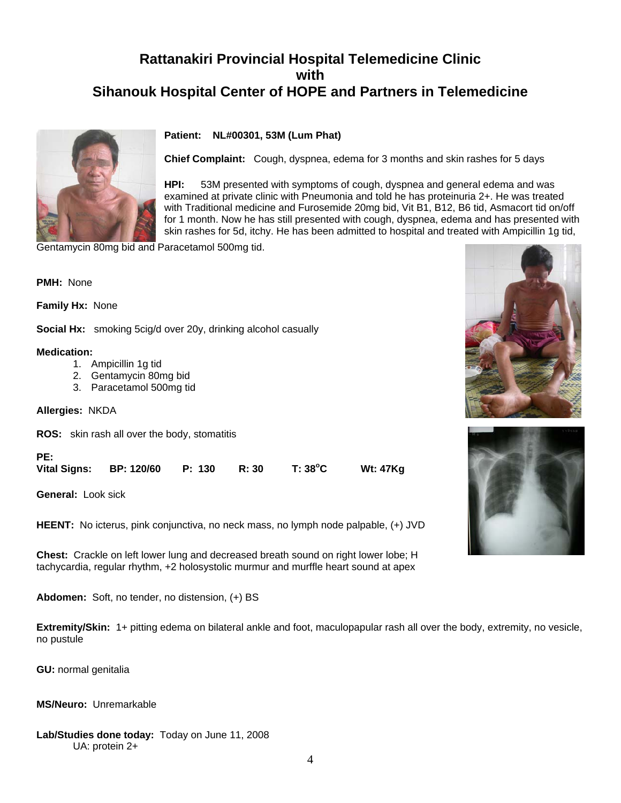## **Rattanakiri Provincial Hospital Telemedicine Clinic with Sihanouk Hospital Center of HOPE and Partners in Telemedicine**



#### **Patient: NL#00301, 53M (Lum Phat)**

**Chief Complaint:** Cough, dyspnea, edema for 3 months and skin rashes for 5 days

**HPI:** 53M presented with symptoms of cough, dyspnea and general edema and was examined at private clinic with Pneumonia and told he has proteinuria 2+. He was treated with Traditional medicine and Furosemide 20mg bid, Vit B1, B12, B6 tid, Asmacort tid on/off for 1 month. Now he has still presented with cough, dyspnea, edema and has presented with skin rashes for 5d, itchy. He has been admitted to hospital and treated with Ampicillin 1g tid,

**C Wt: 47Kg**

Gentamycin 80mg bid and Paracetamol 500mg tid.

**PMH:** None

**Family Hx:** None

**Social Hx:** smoking 5cig/d over 20y, drinking alcohol casually

#### **Medication:**

- 1. Ampicillin 1g tid
- 2. Gentamycin 80mg bid
- 3. Paracetamol 500mg tid

**Allergies:** NKDA

**ROS:** skin rash all over the body, stomatitis

**PE: Vital Signs: BP: 120/60 P: 130 R: 30 T: 38<sup>o</sup>**

**General:** Look sick

**HEENT:** No icterus, pink conjunctiva, no neck mass, no lymph node palpable, (+) JVD

**Chest:** Crackle on left lower lung and decreased breath sound on right lower lobe; H tachycardia, regular rhythm, +2 holosystolic murmur and murffle heart sound at apex

**Abdomen:** Soft, no tender, no distension, (+) BS

**Extremity/Skin:** 1+ pitting edema on bilateral ankle and foot, maculopapular rash all over the body, extremity, no vesicle, no pustule

**GU:** normal genitalia

**MS/Neuro:** Unremarkable

**Lab/Studies done today:** Today on June 11, 2008 UA: protein 2+



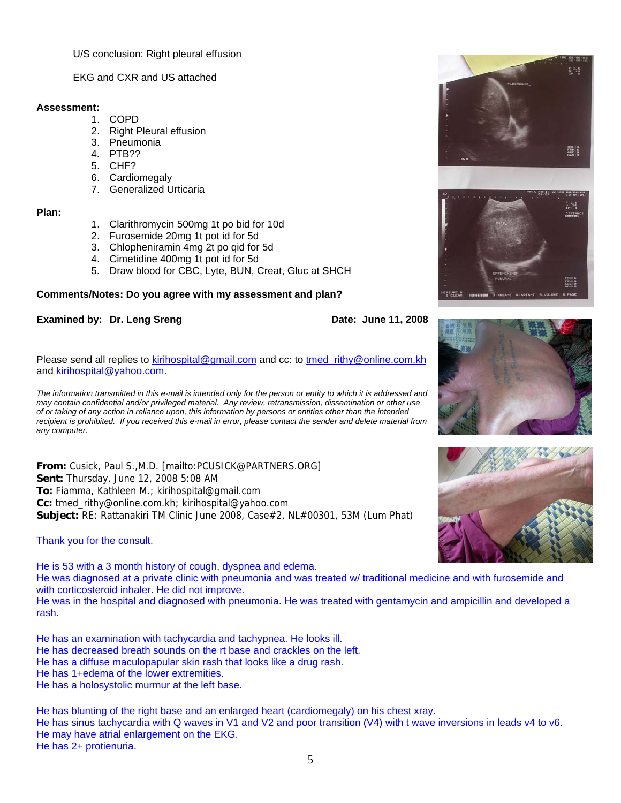U/S conclusion: Right pleural effusion

EKG and CXR and US attached

#### **Assessment:**

- 1. COPD
- 2. Right Pleural effusion
- 3. Pneumonia
- 4. PTB??
- 5. CHF?
- 6. Cardiomegaly
- 7. Generalized Urticaria

#### **Plan:**

- 1. Clarithromycin 500mg 1t po bid for 10d
- 2. Furosemide 20mg 1t pot id for 5d
- 3. Chlopheniramin 4mg 2t po qid for 5d
- 4. Cimetidine 400mg 1t pot id for 5d
- 5. Draw blood for CBC, Lyte, BUN, Creat, Gluc at SHCH

#### **Comments/Notes: Do you agree with my assessment and plan?**

#### **Examined by: Dr. Leng Sreng Date: June 11, 2008**

Please send all replies to kirihospital@gmail.com and cc: to tmed rithy@online.com.kh and kirihospital@yahoo.com.

*The information transmitted in this e-mail is intended only for the person or entity to which it is addressed and may contain confidential and/or privileged material. Any review, retransmission, dissemination or other use of or taking of any action in reliance upon, this information by persons or entities other than the intended recipient is prohibited. If you received this e-mail in error, please contact the sender and delete material from any computer.*

**From:** Cusick, Paul S.,M.D. [mailto:PCUSICK@PARTNERS.ORG] **Sent:** Thursday, June 12, 2008 5:08 AM **To:** Fiamma, Kathleen M.; kirihospital@gmail.com **Cc:** tmed\_rithy@online.com.kh; kirihospital@yahoo.com **Subject:** RE: Rattanakiri TM Clinic June 2008, Case#2, NL#00301, 53M (Lum Phat)

Thank you for the consult.

He is 53 with a 3 month history of cough, dyspnea and edema.

He was diagnosed at a private clinic with pneumonia and was treated w/ traditional medicine and with furosemide and with corticosteroid inhaler. He did not improve.

He was in the hospital and diagnosed with pneumonia. He was treated with gentamycin and ampicillin and developed a rash.

He has an examination with tachycardia and tachypnea. He looks ill. He has decreased breath sounds on the rt base and crackles on the left. He has a diffuse maculopapular skin rash that looks like a drug rash. He has 1+edema of the lower extremities.

He has a holosystolic murmur at the left base.

He has blunting of the right base and an enlarged heart (cardiomegaly) on his chest xray.

He has sinus tachycardia with Q waves in V1 and V2 and poor transition (V4) with t wave inversions in leads v4 to v6. He may have atrial enlargement on the EKG.

He has 2+ protienuria.





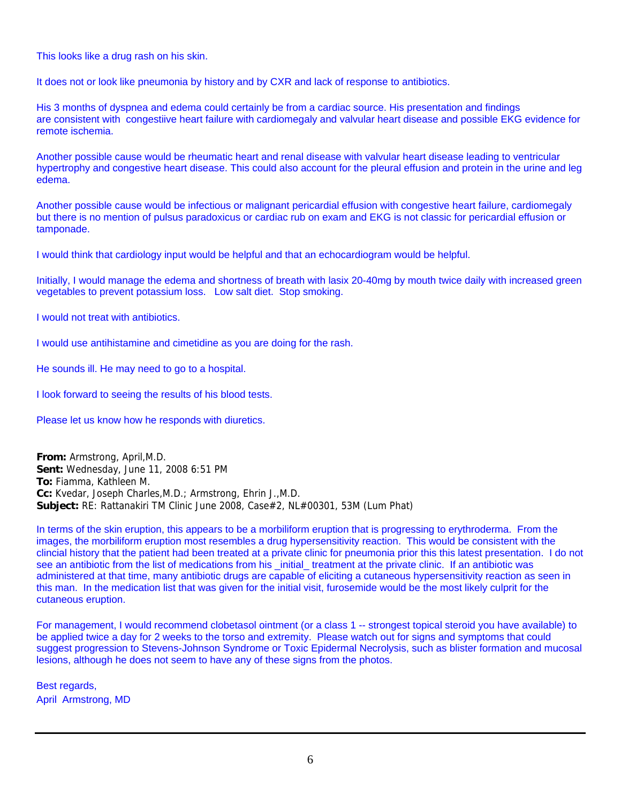This looks like a drug rash on his skin.

It does not or look like pneumonia by history and by CXR and lack of response to antibiotics.

His 3 months of dyspnea and edema could certainly be from a cardiac source. His presentation and findings are consistent with congestiive heart failure with cardiomegaly and valvular heart disease and possible EKG evidence for remote ischemia.

Another possible cause would be rheumatic heart and renal disease with valvular heart disease leading to ventricular hypertrophy and congestive heart disease. This could also account for the pleural effusion and protein in the urine and leg edema.

Another possible cause would be infectious or malignant pericardial effusion with congestive heart failure, cardiomegaly but there is no mention of pulsus paradoxicus or cardiac rub on exam and EKG is not classic for pericardial effusion or tamponade.

I would think that cardiology input would be helpful and that an echocardiogram would be helpful.

Initially, I would manage the edema and shortness of breath with lasix 20-40mg by mouth twice daily with increased green vegetables to prevent potassium loss. Low salt diet. Stop smoking.

I would not treat with antibiotics.

I would use antihistamine and cimetidine as you are doing for the rash.

He sounds ill. He may need to go to a hospital.

I look forward to seeing the results of his blood tests.

Please let us know how he responds with diuretics.

**From:** Armstrong, April,M.D. **Sent:** Wednesday, June 11, 2008 6:51 PM **To:** Fiamma, Kathleen M. **Cc:** Kvedar, Joseph Charles,M.D.; Armstrong, Ehrin J.,M.D. **Subject:** RE: Rattanakiri TM Clinic June 2008, Case#2, NL#00301, 53M (Lum Phat)

In terms of the skin eruption, this appears to be a morbiliform eruption that is progressing to erythroderma. From the images, the morbiliform eruption most resembles a drug hypersensitivity reaction. This would be consistent with the clincial history that the patient had been treated at a private clinic for pneumonia prior this this latest presentation. I do not see an antibiotic from the list of medications from his initial treatment at the private clinic. If an antibiotic was administered at that time, many antibiotic drugs are capable of eliciting a cutaneous hypersensitivity reaction as seen in this man. In the medication list that was given for the initial visit, furosemide would be the most likely culprit for the cutaneous eruption.

For management, I would recommend clobetasol ointment (or a class 1 -- strongest topical steroid you have available) to be applied twice a day for 2 weeks to the torso and extremity. Please watch out for signs and symptoms that could suggest progression to Stevens-Johnson Syndrome or Toxic Epidermal Necrolysis, such as blister formation and mucosal lesions, although he does not seem to have any of these signs from the photos.

Best regards, April Armstrong, MD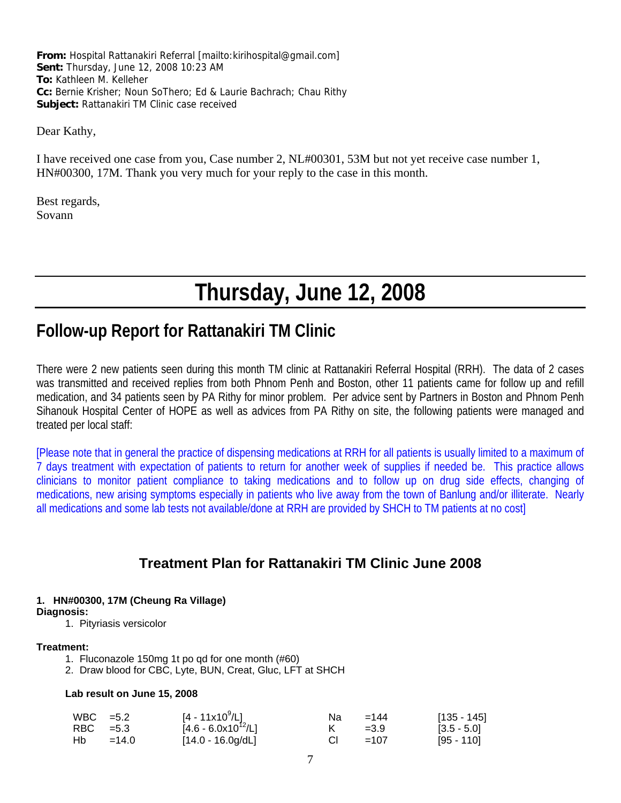**From:** Hospital Rattanakiri Referral [mailto:kirihospital@gmail.com] **Sent:** Thursday, June 12, 2008 10:23 AM **To:** Kathleen M. Kelleher **Cc:** Bernie Krisher; Noun SoThero; Ed & Laurie Bachrach; Chau Rithy **Subject:** Rattanakiri TM Clinic case received

Dear Kathy,

I have received one case from you, Case number 2, NL#00301, 53M but not yet receive case number 1, HN#00300, 17M. Thank you very much for your reply to the case in this month.

Best regards, Sovann

# **Thursday, June 12, 2008**

## **Follow-up Report for Rattanakiri TM Clinic**

There were 2 new patients seen during this month TM clinic at Rattanakiri Referral Hospital (RRH). The data of 2 cases was transmitted and received replies from both Phnom Penh and Boston, other 11 patients came for follow up and refill medication, and 34 patients seen by PA Rithy for minor problem. Per advice sent by Partners in Boston and Phnom Penh Sihanouk Hospital Center of HOPE as well as advices from PA Rithy on site, the following patients were managed and treated per local staff:

[Please note that in general the practice of dispensing medications at RRH for all patients is usually limited to a maximum of 7 days treatment with expectation of patients to return for another week of supplies if needed be. This practice allows clinicians to monitor patient compliance to taking medications and to follow up on drug side effects, changing of medications, new arising symptoms especially in patients who live away from the town of Banlung and/or illiterate. Nearly all medications and some lab tests not available/done at RRH are provided by SHCH to TM patients at no cost]

## **Treatment Plan for Rattanakiri TM Clinic June 2008**

#### **1. HN#00300, 17M (Cheung Ra Village)**

#### **Diagnosis:**

1. Pityriasis versicolor

#### **Treatment:**

- 1. Fluconazole 150mg 1t po qd for one month (#60)
- 2. Draw blood for CBC, Lyte, BUN, Creat, Gluc, LFT at SHCH

#### **Lab result on June 15, 2008**

|     | $WBC = 5.2$ | $[4 - 11 \times 10^9/\text{L}]$ | Nа | $=144$ | $[135 - 145]$ |
|-----|-------------|---------------------------------|----|--------|---------------|
|     | $RBC = 5.3$ | $[4.6 - 6.0x10^{12}/L]$         |    | $=3.9$ | $[3.5 - 5.0]$ |
| Hb. | $=14.0$     | [14.0 - 16.0g/dL]               |    | $=107$ | [95 - 110]    |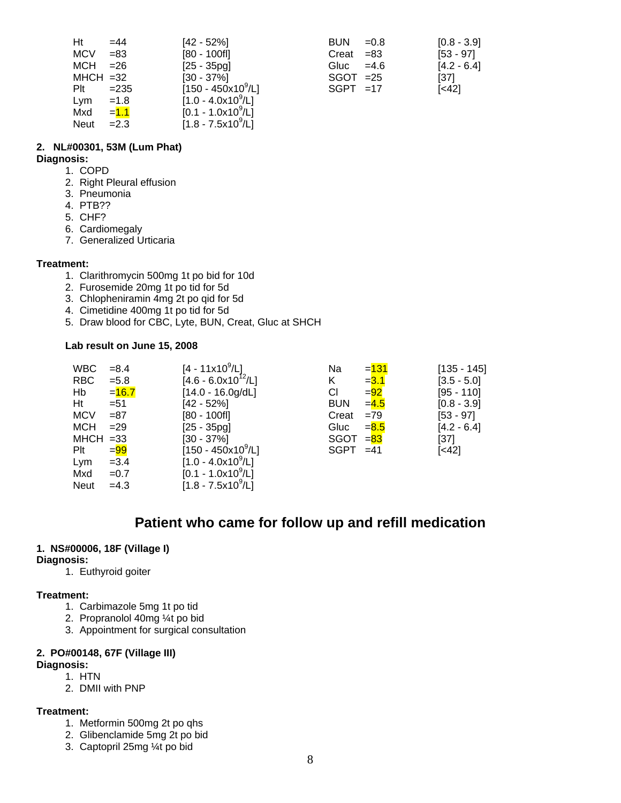| Ht          | $=44$   | $[42 - 52%]$                   | <b>BUN</b>   | $=0.8$ | $[0.8 - 3.9]$ |
|-------------|---------|--------------------------------|--------------|--------|---------------|
| <b>MCV</b>  | $= 83$  | $[80 - 100$ fl]                | $Creat = 83$ |        | $[53 - 97]$   |
| MCH         | $=26$   | $[25 - 35pq]$                  | Gluc         | $=4.6$ | $[4.2 - 6.4]$ |
| $MHCH = 32$ |         | $[30 - 37\%]$                  | $SGOT = 25$  |        | $[37]$        |
| Plt         | $= 235$ | [150 - 450x10 <sup>9</sup> /L] | $SGPT = 17$  |        | [<42]         |
| Lvm         | $=1.8$  | $[1.0 - 4.0x10^9/L]$           |              |        |               |
| Mxd         | $= 1.1$ | $[0.1 - 1.0x10^9/L]$           |              |        |               |
| Neut        | $=2.3$  | $[1.8 - 7.5x10^9/L]$           |              |        |               |

|     | <b>BUN</b><br>$Creat = 83$<br>Gluc $=4.6$<br>$SGOT = 25$ | $= 0.8$ | $[0.8 - 3.9]$<br>$[53 - 97]$<br>$[4.2 - 6.4]$<br>[37] |
|-----|----------------------------------------------------------|---------|-------------------------------------------------------|
| /L] | $SGPT = 17$                                              |         | $[<42]$                                               |
|     |                                                          |         |                                                       |

#### **2. NL#00301, 53M (Lum Phat)**

#### **Diagnosis:**

- 1. COPD
- 2. Right Pleural effusion
- 3. Pneumonia
- 4. PTB??
- 5. CHF?
- 6. Cardiomegaly
- 7. Generalized Urticaria

#### **Treatment:**

- 1. Clarithromycin 500mg 1t po bid for 10d
- 2. Furosemide 20mg 1t po tid for 5d
- 3. Chlopheniramin 4mg 2t po qid for 5d
- 4. Cimetidine 400mg 1t po tid for 5d
- 5. Draw blood for CBC, Lyte, BUN, Creat, Gluc at SHCH

#### **Lab result on June 15, 2008**

| <b>WBC</b>  | $= 8.4$  | $[4 - 11 \times 10^9/L]$           | Na          | $= 131$ | $[135 - 145]$ |
|-------------|----------|------------------------------------|-------------|---------|---------------|
| <b>RBC</b>  | $= 5.8$  | $[4.6 - 6.0x10^{12}/L]$            | Κ           | $= 3.1$ | $[3.5 - 5.0]$ |
| Hb          | $= 16.7$ | $[14.0 - 16.0g/dL]$                | CI          | $= 92$  | $[95 - 110]$  |
| Ht          | $= 51$   | $[42 - 52%]$                       | <b>BUN</b>  | $=4.5$  | $[0.8 - 3.9]$ |
| <b>MCV</b>  | $= 87$   | [80 - 100fl]                       | Creat       | $=79$   | $[53 - 97]$   |
| MCH         | $=29$    | $[25 - 35pg]$                      | Gluc        | $= 8.5$ | $[4.2 - 6.4]$ |
| $MHCH = 33$ |          | $[30 - 37\%]$                      | SGOT        | $= 83$  | $[37]$        |
| Plt         | $= 99$   | $[150 - 450 \times 10^9/\text{L}]$ | $SGPT = 41$ |         | [<42]         |
| Lym         | $=3.4$   | $[1.0 - 4.0x10^9/L]$               |             |         |               |
| Mxd         | $=0.7$   | $[0.1 - 1.0x10^9/L]$               |             |         |               |
| Neut        | $=4.3$   | $[1.8 - 7.5x10^9/L]$               |             |         |               |

### **Patient who came for follow up and refill medication**

#### **1. NS#00006, 18F (Village I)**

#### **Diagnosis:**

1. Euthyroid goiter

#### **Treatment:**

- 1. Carbimazole 5mg 1t po tid
- 2. Propranolol 40mg ¼t po bid
- 3. Appointment for surgical consultation

#### **2. PO#00148, 67F (Village III)**

#### **Diagnosis:**

- 1. HTN
- 2. DMII with PNP

#### **Treatment:**

- 1. Metformin 500mg 2t po qhs
- 2. Glibenclamide 5mg 2t po bid
- 3. Captopril 25mg ¼t po bid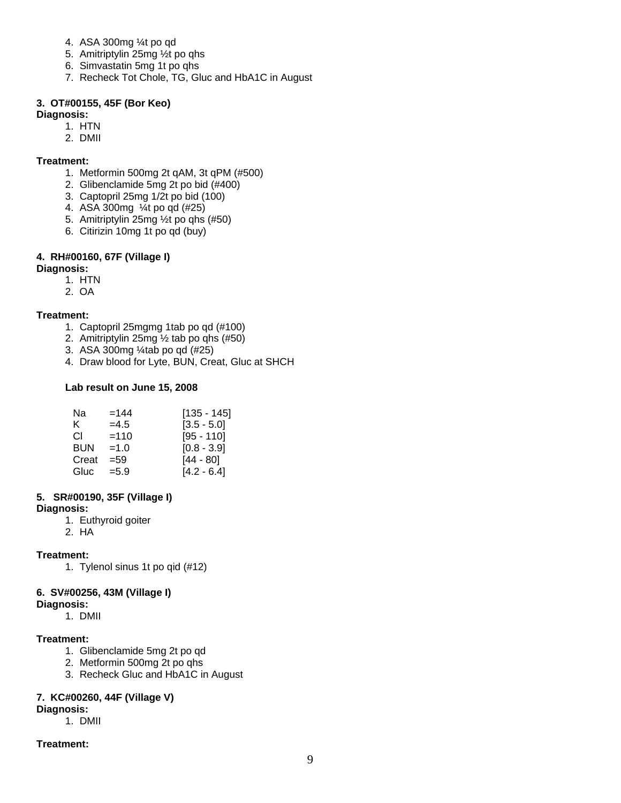- 4. ASA 300mg ¼t po qd
- 5. Amitriptylin 25mg ½t po qhs
- 6. Simvastatin 5mg 1t po qhs
- 7. Recheck Tot Chole, TG, Gluc and HbA1C in August

#### **3. OT#00155, 45F (Bor Keo)**

- **Diagnosis:** 
	- 1. HTN
	- 2. DMII

#### **Treatment:**

- 1. Metformin 500mg 2t qAM, 3t qPM (#500)
- 2. Glibenclamide 5mg 2t po bid (#400)
- 3. Captopril 25mg 1/2t po bid (100)
- 4. ASA 300mg ¼t po qd (#25)
- 5. Amitriptylin 25mg ½t po qhs (#50)
- 6. Citirizin 10mg 1t po qd (buy)

#### **4. RH#00160, 67F (Village I)**

#### **Diagnosis:**

- 1. HTN
- 2. OA

#### **Treatment:**

- 1. Captopril 25mgmg 1tab po qd (#100)
- 2. Amitriptylin 25mg ½ tab po qhs (#50)
- 3. ASA 300mg ¼tab po qd (#25)
- 4. Draw blood for Lyte, BUN, Creat, Gluc at SHCH

#### **Lab result on June 15, 2008**

| Na         | $=144$  | $[135 - 145]$ |
|------------|---------|---------------|
| ĸ.         | $=4.5$  | $[3.5 - 5.0]$ |
| СL         | $=110$  | $[95 - 110]$  |
| <b>BUN</b> | $=1.0$  | $[0.8 - 3.9]$ |
| Creat      | $= 59$  | [44 - 80]     |
| Gluc       | $= 5.9$ | $[4.2 - 6.4]$ |

#### **5. SR#00190, 35F (Village I)**

#### **Diagnosis:**

- 1. Euthyroid goiter
- 2. HA

#### **Treatment:**

1. Tylenol sinus 1t po qid (#12)

#### **6. SV#00256, 43M (Village I)**

#### **Diagnosis:**

1. DMII

#### **Treatment:**

- 1. Glibenclamide 5mg 2t po qd
- 2. Metformin 500mg 2t po qhs
- 3. Recheck Gluc and HbA1C in August

#### **7. KC#00260, 44F (Village V)**

#### **Diagnosis:**

1. DMII

#### **Treatment:**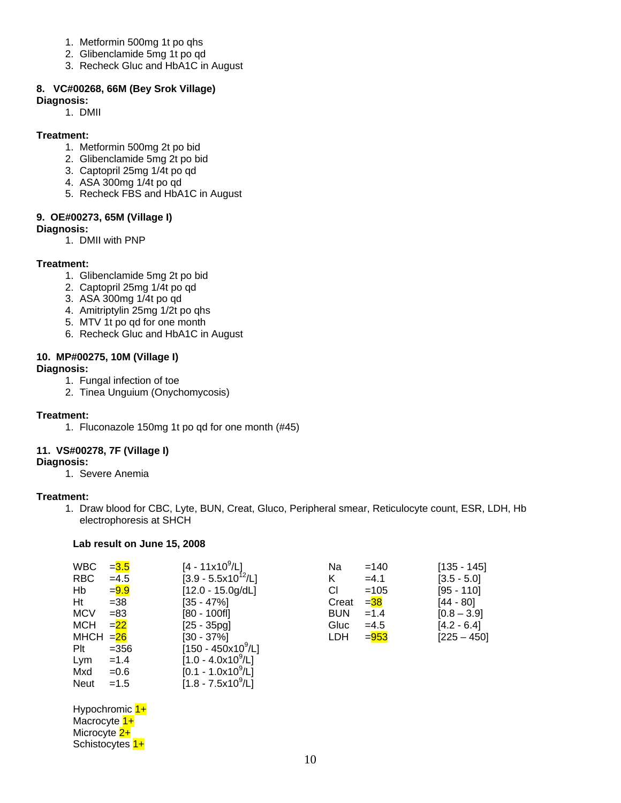- 1. Metformin 500mg 1t po qhs
- 2. Glibenclamide 5mg 1t po qd
- 3. Recheck Gluc and HbA1C in August

#### **8. VC#00268, 66M (Bey Srok Village)**

**Diagnosis:**

1. DMII

#### **Treatment:**

- 1. Metformin 500mg 2t po bid
- 2. Glibenclamide 5mg 2t po bid
- 3. Captopril 25mg 1/4t po qd
- 4. ASA 300mg 1/4t po qd
- 5. Recheck FBS and HbA1C in August

#### **9. OE#00273, 65M (Village I)**

#### **Diagnosis:**

1. DMII with PNP

#### **Treatment:**

- 1. Glibenclamide 5mg 2t po bid
- 2. Captopril 25mg 1/4t po qd
- 3. ASA 300mg 1/4t po qd
- 4. Amitriptylin 25mg 1/2t po qhs
- 5. MTV 1t po qd for one month
- 6. Recheck Gluc and HbA1C in August

#### **10. MP#00275, 10M (Village I)**

#### **Diagnosis:**

- 1. Fungal infection of toe
- 2. Tinea Unguium (Onychomycosis)

#### **Treatment:**

1. Fluconazole 150mg 1t po qd for one month (#45)

#### **11. VS#00278, 7F (Village I)**

#### **Diagnosis:**

1. Severe Anemia

#### **Treatment:**

1. Draw blood for CBC, Lyte, BUN, Creat, Gluco, Peripheral smear, Reticulocyte count, ESR, LDH, Hb electrophoresis at SHCH

#### **Lab result on June 15, 2008**

| <b>WBC</b>  | $= 3.5$ | [4 - 11x10 <sup>9</sup> /L]        | Na         | $=140$  | $[135 - 145]$ |
|-------------|---------|------------------------------------|------------|---------|---------------|
| <b>RBC</b>  | $=4.5$  | $[3.9 - 5.5x10^{12}/L]$            | Κ          | $=4.1$  | $[3.5 - 5.0]$ |
| Hb          | $= 9.9$ | $[12.0 - 15.0g/dL]$                | <b>CI</b>  | $=105$  | [95 - 110]    |
| Ht          | $= 38$  | [35 - 47%]                         | Creat      | $=$ 38  | [44 - 80]     |
| <b>MCV</b>  | $= 83$  | $[80 - 100$ fl]                    | <b>BUN</b> | $=1.4$  | $[0.8 - 3.9]$ |
| <b>MCH</b>  | $=22$   | $[25 - 35pg]$                      | Gluc       | $=4.5$  | $[4.2 - 6.4]$ |
| <b>MHCH</b> | $= 26$  | $[30 - 37\%]$                      | <b>LDH</b> | $= 953$ | $[225 - 450]$ |
| Plt         | $= 356$ | $[150 - 450 \times 10^9/\text{L}]$ |            |         |               |
| Lym         | $=1.4$  | $[1.0 - 4.0x109/L]$                |            |         |               |
| Mxd         | $=0.6$  | $[0.1 - 1.0x10^9/L]$               |            |         |               |
| <b>Neut</b> | $=1.5$  | $[1.8 - 7.5x10^9/L]$               |            |         |               |

Hypochromic  $1+$ Macrocyte 1+ Microcyte 2+ Schistocytes  $1+$